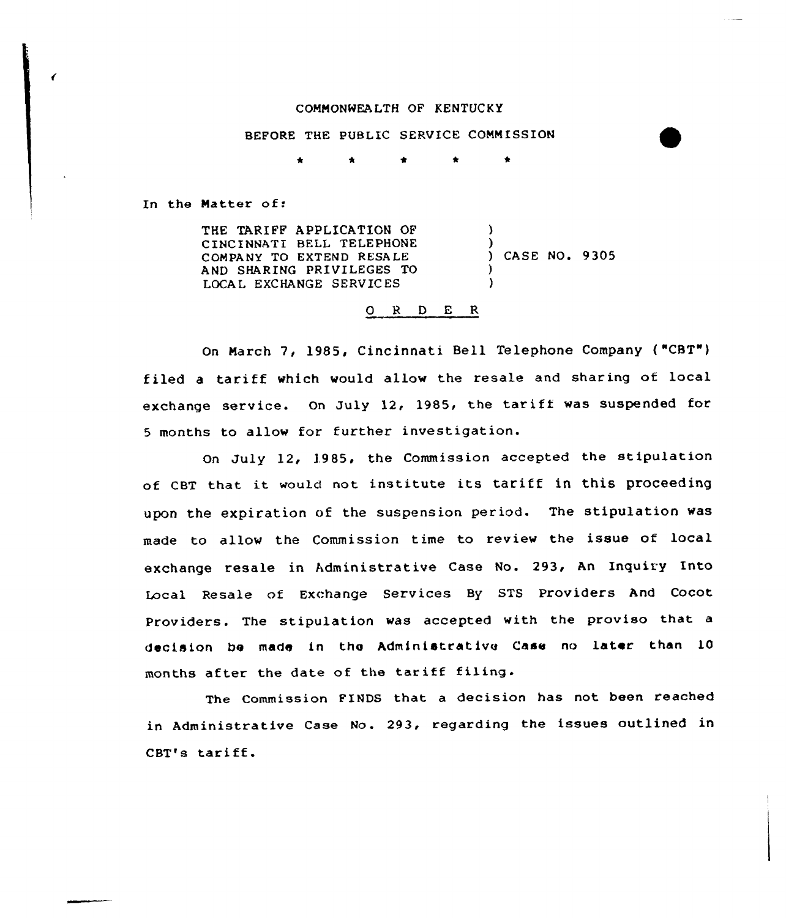## COMMONWEA LTH OF KENTUCKY

## BEFORE THE PUBLIC SERVICE COMMISSION

In the Matter of:

THE TARIFF APPLICATIGN OF CINCINNATI BELL TELEPHONE COMPANY TO EXTEND RESALE AND SHARING PRIVILEGES TO LOCAL EXCHANGE SERVICES ) ) ) CASE NO. 9305 ) )

## 0 R <sup>D</sup> E R

On March 7, l985, Cincinnati Bell Telephone Company ( "CBT") filed <sup>a</sup> tariff which would allow the resale and sharing of local exchange service. On July 12, 1985, the tariff was suspended for <sup>5</sup> months to allow for further investigation.

On July 12, 1985, the Commission accepted the stipulation of cBT that it would not institute its tariff in this proceeding upon the expiration of the suspension period. The stipulation was made to allow the Commission time to review the issue of local exchange resale in Administrative Case No. 293, An Inquiry Into Local Resale of Exchange Services By STS Providers And Cocot Providers. The stipulation was accepted with the proviso that <sup>a</sup> decision be made in the Administrative Case no later than 10 months after the date of the tariff filing.

The Commission FINDS that a decision has not been reached in Administrative Case No. 293, regarding the issues outlined in CBT's tariff.